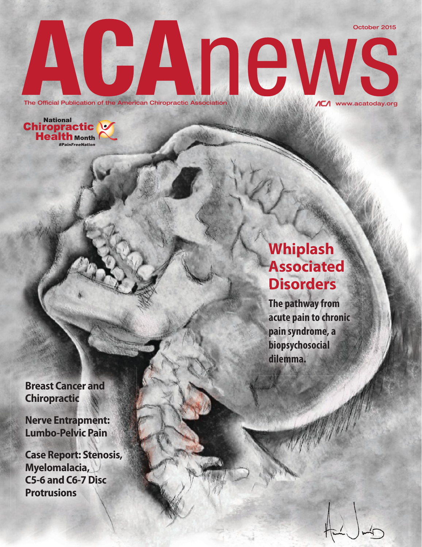October 2015

www.acatoday.org

The Official Publication of the American Chiropractic Association.



## **Whiplash Associated Disorders**

**The pathway from acute pain to chronic pain syndrome, a biopsychosocial dilemma.**

**Breast Cancer and Chiropractic**

**Nerve Entrapment: Lumbo-Pelvic Pain**

**Case Report: Stenosis, Myelomalacia, C5-6 and C6-7 Disc Protrusions**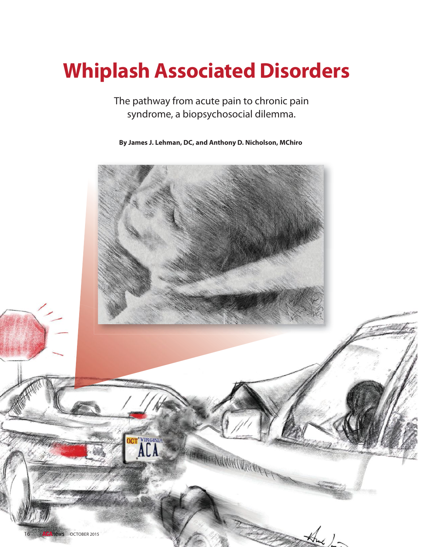# **Whiplash Associated Disorders**

The pathway from acute pain to chronic pain syndrome, a biopsychosocial dilemma.

**By James J. Lehman, DC, and Anthony D. Nicholson, MChiro**

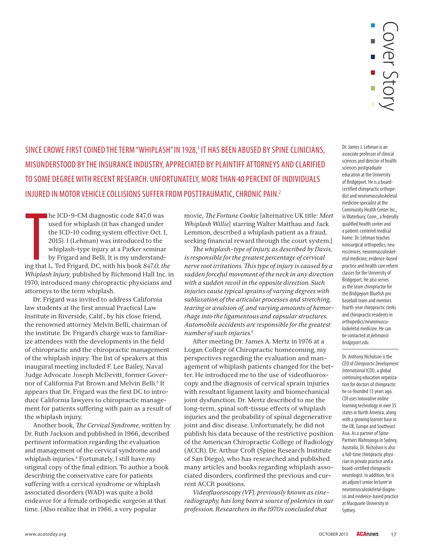

SINCE CROWE FIRST COINED THE TERM "WHIPLASH" IN 1928,<sup>1</sup> IT HAS BEEN ABUSED BY SPINE CLINICIANS, MISUNDERSTOOD BY THE INSURANCE INDUSTRY, APPRECIATED BY PLAINTIFF ATTORNEYS AND CLARIFIED TO SOME DEGREE WITH RECENT RESEARCH. UNFORTUNATELY, MORE THAN 40 PERCENT OF INDIVIDUALS INJURED IN MOTOR VEHICLE COLLISIONS SUFFER FROM POSTTRAUMATIC, CHRONIC PAIN.2

**The Contract Of the Contract Of the Contract Of the Contract Of the Contract Of the Contract Of the Contract Of the Contract Of the Contract Of the Contract Of the Contract Of the Contract Of the Contract Of the Contract** he ICD-9-CM diagnostic code 847.0 was used for whiplash (it has changed under the ICD-10 coding system effective Oct. 1, 2015). I (Lehman) was introduced to the whiplash-type injury at a Parker seminar by Frigard and Belli. It is my understanding that L. Ted Frigard, DC, with his book *847.0, the Whiplash Injury*, published by Richmond Hall Inc. in 1970, introduced many chiropractic physicians and attorneys to the term whiplash.

Dr. Frigard was invited to address California law students at the first annual Practical Law Institute in Riverside, Calif., by his close friend, the renowned attorney Melvin Belli, chairman of the institute. Dr. Frigard's charge was to familiarize attendees with the developments in the field of chiropractic and the chiropractic management of the whiplash injury. The list of speakers at this inaugural meeting included F. Lee Bailey, Naval Judge Advocate Joseph McDevitt, former Governor of California Pat Brown and Melvin Belli.3 It appears that Dr. Frigard was the first DC to introduce California lawyers to chiropractic management for patients suffering with pain as a result of the whiplash injury.

Another book, *The Cervical Syndrome*, written by Dr. Ruth Jackson and published in 1966, described pertinent information regarding the evaluation and management of the cervical syndrome and whiplash injuries.4 Fortunately, I still have my original copy of the final edition. To author a book describing the conservative care for patients suffering with a cervical syndrome or whiplash associated disorders (WAD) was quite a bold endeavor for a female orthopedic surgeon at that time. [Also realize that in 1966, a very popular

movie, *The Fortune Cookie* [alternative UK title: *Meet Whiplash Willie*] starring Walter Matthau and Jack Lemmon, described a whiplash patient as a fraud, seeking financial reward through the court system.]

*-e whiplash-type of injury, as described by Davis, is responsible for the greatest percentage of cervical nerve root irritations. -is type of injury is caused by a sudden forceful movement of the neck in any direction with a sudden recoil in the opposite direction. Such injuries cause typical sprains of varying degrees with subluxation of the articular processes and stretching, tearing or avulsion of, and varying amounts of hemorrhage into the ligamentous and capsular structures. Automobile accidents are responsible for the greatest number of such injuries.5*

After meeting Dr. James A. Mertz in 1976 at a Logan College of Chiropractic homecoming, my perspectives regarding the evaluation and management of whiplash patients changed for the better. He introduced me to the use of videofluoroscopy and the diagnosis of cervical sprain injuries with resultant ligament laxity and biomechanical joint dysfunction. Dr. Mertz described to me the long-term, spinal soft-tissue effects of whiplash injuries and the probability of spinal degenerative joint and disc disease. Unfortunately, he did not publish his data because of the restrictive position of the American Chiropractic College of Radiology (ACCR). Dr. Arthur Croft (Spine Research Institute of San Diego), who has researched and published many articles and books regarding whiplash associated disorders, confirmed the previous and current ACCR positions.

*Videofluoroscopy (VF), previously known as cineradiography, has long been a source of polemics in our profession. Researchers in the 1970s concluded that* 

Dr. James J. Lehman is an associate professor of clinical sciences and director of health sciences postgraduate education at the University of Bridgeport. He is a boardcertified chiropractic orthopedist and neuromusculoskeletal medicine specialist at the Community Health Center Inc., in Waterbury, Conn., a federally qualified health center and a patient-centered medical home. Dr. Lehman teaches nonsurgical orthopedics, neurosciences, neuromusculoskeletal medicine, evidence-based practice and health care reform classes for the University of Bridgeport. He also serves as the team chiropractor for the Bridgeport Bluefish pro baseball team and mentors fourth-year chiropractic clerks and chiropractic residents in orthopedics/neuromusculoskeletal medicine. He can be contacted at jlehman@ bridgeport.edu.

Dr. Anthony Nicholson is the CEO of Chiropractic Development International (CDI), a global continuing education organization for doctors of chiropractic he co-founded 13 years ago. CDI uses innovative online learning technology in over 35 states in North America, along with a growing learner base in the UK, Europe and Southeast Asia. As a partner of Spine Partners Wahroonga in Sydney, Australia, Dr. Nicholson is also a full-time chiropractic physician in private practice and a board-certified chiropractic neurologist. In addition, he is an adjunct senior lecturer in neuromusculoskeletal diagnosis and evidence-based practice at Macquarie University in Sydney.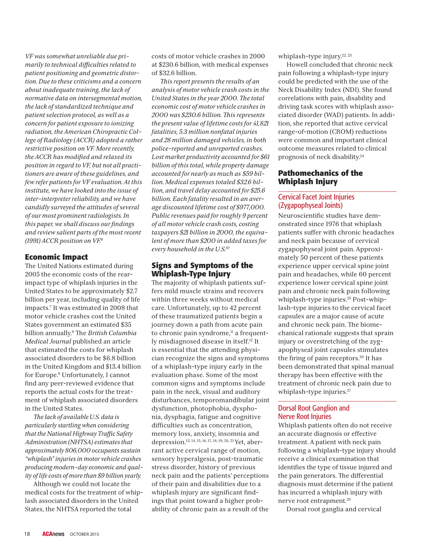*VF was somewhat unreliable due primarily to technical difficulties related to patient positioning and geometric distortion. Due to these criticisms and a concern about inadequate training, the lack of normative data on intersegmental motion, the lack of standardized technique and patient selection protocol, as well as a concern for patient exposure to ionizing radiation, the American Chiropractic College of Radiology (ACCR) adopted a rather restrictive position on VF. More recently, the ACCR has modified and relaxed its position in regard to VF, but not all practitioners are aware of these guidelines, and few refer patients for VF evaluation. At this institute, we have looked into the issue of inter-interpreter reliability, and we have candidly surveyed the attitudes of several of our most prominent radiologists. In this paper, we shall discuss our findings and review salient parts of the most recent (1991) ACCR position on VF.6*

#### **Economic Impact**

The United Nations estimated during 2005 the economic costs of the rearimpact type of whiplash injuries in the United States to be approximately \$2.7 billion per year, including quality of life impacts.7 It was estimated in 2008 that motor vehicle crashes cost the United States government an estimated \$35 billion annually.<sup>8</sup> The *British Columbia Medical Journal* published an article that estimated the costs for whiplash associated disorders to be \$6.8 billion in the United Kingdom and \$13.4 billion for Europe.9 Unfortunately, I cannot find any peer-reviewed evidence that reports the actual costs for the treatment of whiplash associated disorders in the United States.

*-e lack of available U.S. data is particularly startling when considering that the National Highway Traffic Safety Administration (NHTSA) estimates that approximately 806,000 occupants sustain "whiplash" injuries in motor vehicle crashes producing modern-day economic and quality of life costs of more than \$9 billion yearly.*

Although we could not locate the medical costs for the treatment of whiplash associated disorders in the United States, the NHTSA reported the total

costs of motor vehicle crashes in 2000 at \$230.6 billion, with medical expenses of \$32.6 billion.

*-is report presents the results of an analysis of motor vehicle crash costs in the*   $United States in the year 2000.$  The total *economic cost of motor vehicle crashes in 2000 was \$230.6 billion. -is represents the present value of lifetime costs for 41,821 fatalities, 5.3 million nonfatal injuries and 28 million damaged vehicles, in both police-reported and unreported crashes. Lost market productivity accounted for \$61 billion of this total, while property damage accounted for nearly as much as \$59 billion. Medical expenses totaled \$32.6 billion, and travel delay accounted for \$25.6 billion. Each fatality resulted in an average discounted lifetime cost of \$977,000. Public revenues paid for roughly 9 percent of all motor vehicle crash costs, costing taxpayers \$21 billion in 2000, the equivalent of more than \$200 in added taxes for every household in the U.S.10*

#### **Signs and Symptoms of the Whiplash-Type Injury**

-e majority of whiplash patients suffers mild muscle strains and recovers within three weeks without medical care. Unfortunately, up to 42 percent of these traumatized patients begin a journey down a path from acute pain to chronic pain syndrome,<sup>11</sup> a frequently misdiagnosed disease in itself.12 It is essential that the attending physician recognize the signs and symptoms of a whiplash-type injury early in the evaluation phase. Some of the most common signs and symptoms include pain in the neck, visual and auditory disturbances, temporomandibular joint dysfunction, photophobia, dysphonia, dysphagia, fatigue and cognitive difficulties such as concentration, memory loss, anxiety, insomnia and depression.13, 14, 15, 16, 17, 18, 19, 20, 21 Yet, aberrant active cervical range of motion, sensory hyperalgesia, post-traumatic stress disorder, history of previous neck pain and the patients' perceptions of their pain and disabilities due to a whiplash injury are significant findings that point toward a higher probability of chronic pain as a result of the

whiplash-type injury.<sup>22, 23</sup>

Howell concluded that chronic neck pain following a whiplash-type injury could be predicted with the use of the Neck Disability Index (NDI). She found correlations with pain, disability and driving task scores with whiplash associated disorder (WAD) patients. In addition, she reported that active cervical range-of-motion (CROM) reductions were common and important clinical outcome measures related to clinical prognosis of neck disability.24

#### **Pathomechanics of the Whiplash Injury**

#### Cervical Facet Joint Injuries (Zygapophyseal Joints)

Neuroscientific studies have demonstrated since 1976 that whiplash patients suffer with chronic headaches and neck pain because of cervical zygapophyseal joint pain. Approximately 50 percent of these patients experience upper cervical spine joint pain and headaches, while 60 percent experience lower cervical spine joint pain and chronic neck pain following whiplash-type injuries.<sup>25</sup> Post-whiplash-type injuries to the cervical facet capsules are a major cause of acute and chronic neck pain. The biomechanical rationale suggests that sprain injury or overstretching of the zygapophyseal joint capsules stimulates the firing of pain receptors.<sup>26</sup> It has been demonstrated that spinal manual therapy has been effective with the treatment of chronic neck pain due to whiplash-type injuries.<sup>27</sup>

#### Dorsal Root Ganglion and Nerve Root Injuries

Whiplash patients often do not receive an accurate diagnosis or effective treatment. A patient with neck pain following a whiplash-type injury should receive a clinical examination that identifies the type of tissue injured and the pain generators. The differential diagnosis must determine if the patient has incurred a whiplash injury with nerve root entrapment.28

Dorsal root ganglia and cervical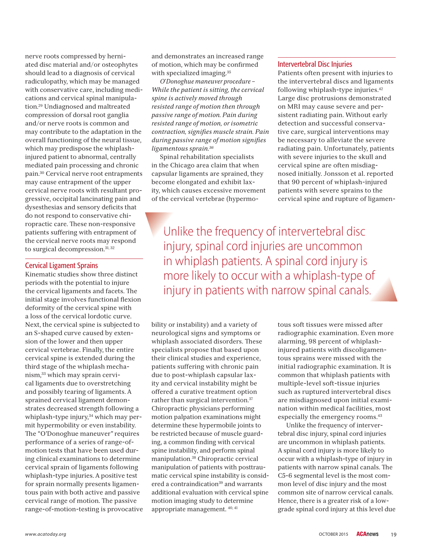nerve roots compressed by herniated disc material and/or osteophytes should lead to a diagnosis of cervical radiculopathy, which may be managed with conservative care, including medications and cervical spinal manipulation.29 Undiagnosed and maltreated compression of dorsal root ganglia and/or nerve roots is common and may contribute to the adaptation in the overall functioning of the neural tissue, which may predispose the whiplashinjured patient to abnormal, centrally mediated pain processing and chronic pain.30 Cervical nerve root entrapments may cause entrapment of the upper cervical nerve roots with resultant progressive, occipital lancinating pain and dysesthesias and sensory deficits that do not respond to conservative chiropractic care. These non-responsive patients suffering with entrapment of the cervical nerve roots may respond to surgical decompression.<sup>31, 32</sup>

#### Cervical Ligament Sprains

Kinematic studies show three distinct periods with the potential to injure the cervical ligaments and facets. The initial stage involves functional flexion deformity of the cervical spine with a loss of the cervical lordotic curve. Next, the cervical spine is subjected to an S-shaped curve caused by extension of the lower and then upper cervical vertebrae. Finally, the entire cervical spine is extended during the third stage of the whiplash mechanism,33 which may sprain cervical ligaments due to overstretching and possibly tearing of ligaments. A sprained cervical ligament demonstrates decreased strength following a whiplash-type injury,<sup>34</sup> which may permit hypermobility or even instability. The "O'Donoghue maneuver" requires performance of a series of range-ofmotion tests that have been used during clinical examinations to determine cervical sprain of ligaments following whiplash-type injuries. A positive test for sprain normally presents ligamentous pain with both active and passive cervical range of motion. The passive range-of-motion-testing is provocative and demonstrates an increased range of motion, which may be confirmed with specialized imaging.<sup>35</sup>

*O'Donoghue maneuver procedure – While the patient is sitting, the cervical spine is actively moved through resisted range of motion then through passive range of motion. Pain during resisted range of motion, or isometric*   $control, signifies muscle strain. Pain$ *during passive range of motion signifies ligamentous sprain.36*

Spinal rehabilitation specialists in the Chicago area claim that when capsular ligaments are sprained, they become elongated and exhibit laxity, which causes excessive movement of the cervical vertebrae (hypermo-

#### Intervertebral Disc Injuries

Patients often present with injuries to the intervertebral discs and ligaments following whiplash-type injuries.42 Large disc protrusions demonstrated on MRI may cause severe and persistent radiating pain. Without early detection and successful conservative care, surgical interventions may be necessary to alleviate the severe radiating pain. Unfortunately, patients with severe injuries to the skull and cervical spine are often misdiagnosed initially. Jonsson et al. reported that 90 percent of whiplash-injured patients with severe sprains to the cervical spine and rupture of ligamen-

Unlike the frequency of intervertebral disc Uinjury, spinal cord injuries are uncommon in whiplash patients. A spinal cord injury is more likely to occur with a whiplash-type of injury in patients with narrow spinal canals.

bility or instability) and a variety of neurological signs and symptoms or whiplash associated disorders. These specialists propose that based upon their clinical studies and experience, patients suffering with chronic pain due to post-whiplash capsular laxity and cervical instability might be offered a curative treatment option rather than surgical intervention.37 Chiropractic physicians performing motion palpation examinations might determine these hypermobile joints to be restricted because of muscle guarding, a common finding with cervical spine instability, and perform spinal manipulation.38 Chiropractic cervical manipulation of patients with posttraumatic cervical spine instability is considered a contraindication<sup>39</sup> and warrants additional evaluation with cervical spine motion imaging study to determine appropriate management. 40, 41

tous soft tissues were missed after radiographic examination. Even more alarming, 98 percent of whiplashinjured patients with discoligamentous sprains were missed with the initial radiographic examination. It is common that whiplash patients with multiple-level soft-tissue injuries such as ruptured intervertebral discs are misdiagnosed upon initial examination within medical facilities, most especially the emergency rooms.43

Unlike the frequency of intervertebral disc injury, spinal cord injuries are uncommon in whiplash patients. A spinal cord injury is more likely to occur with a whiplash-type of injury in patients with narrow spinal canals. The C5-6 segmental level is the most common level of disc injury and the most common site of narrow cervical canals. Hence, there is a greater risk of a lowgrade spinal cord injury at this level due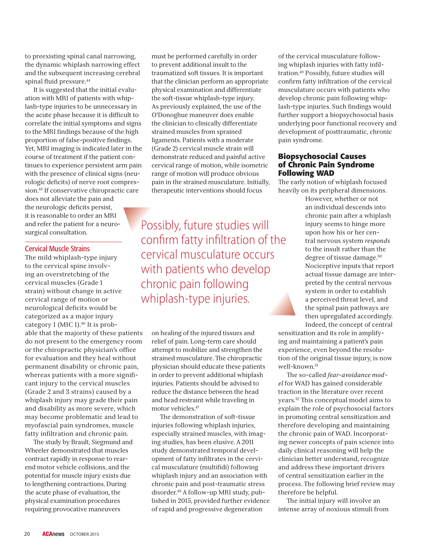to preexisting spinal canal narrowing, the dynamic whiplash narrowing effect and the subsequent increasing cerebral spinal fluid pressure.<sup>44</sup>

It is suggested that the initial evaluation with MRI of patients with whiplash-type injuries to be unnecessary in the acute phase because it is difficult to correlate the initial symptoms and signs to the MRI findings because of the high proportion of false-positive findings. Yet, MRI imaging is indicated later in the course of treatment if the patient continues to experience persistent arm pain with the presence of clinical signs (neurologic deficits) of nerve root compression.45 If conservative chiropractic care does not alleviate the pain and the neurologic deficits persist, it is reasonable to order an MRI and refer the patient for a neurosurgical consultation.

#### Cervical Muscle Strains

The mild whiplash-type injury to the cervical spine involving an overstretching of the cervical muscles (Grade 1 strain) without change in active cervical range of motion or neurological deficits would be categorized as a major injury category 1 (MIC 1).<sup>46</sup> It is probable that the majority of these patients do not present to the emergency room or the chiropractic physician's office for evaluation and they heal without permanent disability or chronic pain, whereas patients with a more significant injury to the cervical muscles (Grade 2 and 3 strains) caused by a whiplash injury may grade their pain and disability as more severe, which may become problematic and lead to myofascial pain syndromes, muscle fatty infiltration and chronic pain.

The study by Brault, Siegmund and Wheeler demonstrated that muscles contract rapidly in response to rearend motor vehicle collisions, and the potential for muscle injury exists due to lengthening contractions. During the acute phase of evaluation, the physical examination procedures requiring provocative maneuvers

must be performed carefully in order to prevent additional insult to the traumatized soft tissues. It is important that the clinician perform an appropriate physical examination and differentiate the soft-tissue whiplash-type injury. As previously explained, the use of the O'Donoghue maneuver does enable the clinician to clinically differentiate strained muscles from sprained ligaments. Patients with a moderate (Grade 2) cervical muscle strain will demonstrate reduced and painful active cervical range of motion, while isometric range of motion will produce obvious pain in the strained musculature. Initially, therapeutic interventions should focus

Possibly, future studies will Pconfirm fatty infiltration of the cervical musculature occurs with patients who develop chronic pain following whiplash-type injuries.

on healing of the injured tissues and relief of pain. Long-term care should attempt to mobilize and strengthen the strained musculature. The chiropractic physician should educate these patients in order to prevent additional whiplash injuries. Patients should be advised to reduce the distance between the head and head restraint while traveling in motor vehicles.47

The demonstration of soft-tissue injuries following whiplash injuries, especially strained muscles, with imaging studies, has been elusive. A 2011 study demonstrated temporal development of fatty infiltrates in the cervical musculature (multifidi) following whiplash injury and an association with chronic pain and post-traumatic stress disorder.48 A follow-up MRI study, published in 2015, provided further evidence of rapid and progressive degeneration

of the cervical musculature following whiplash injuries with fatty infiltration.49 Possibly, future studies will confirm fatty infiltration of the cervical musculature occurs with patients who develop chronic pain following whiplash-type injuries. Such findings would further support a biopsychosocial basis underlying poor functional recovery and development of posttraumatic, chronic pain syndrome.

#### **Biopsychosocial Causes of Chronic Pain Syndrome Following WAD**

The early notion of whiplash focused heavily on its peripheral dimensions.

> However, whether or not an individual descends into chronic pain after a whiplash injury seems to hinge more upon how his or her central nervous system *responds* to the insult rather than the degree of tissue damage.<sup>50</sup> Nociceptive inputs that report actual tissue damage are interpreted by the central nervous system in order to establish a perceived threat level, and the spinal pain pathways are then upregulated accordingly. Indeed, the concept of central

sensitization and its role in amplifying and maintaining a patient's pain experience, even beyond the resolution of the original tissue injury, is now well-known.<sup>51</sup>

The so-called *fear-avoidance model* for WAD has gained considerable traction in the literature over recent years.<sup>52</sup> This conceptual model aims to explain the role of psychosocial factors in promoting central sensitization and therefore developing and maintaining the chronic pain of WAD. Incorporating newer concepts of pain science into daily clinical reasoning will help the clinician better understand, recognize and address these important drivers of central sensitization earlier in the process. The following brief review may therefore be helpful.

The initial injury will involve an intense array of noxious stimuli from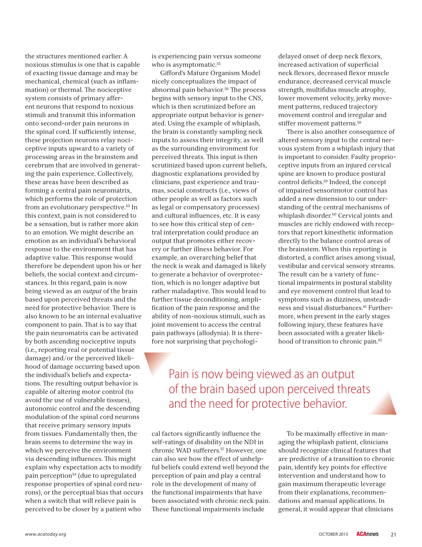the structures mentioned earlier. A noxious stimulus is one that is capable of exacting tissue damage and may be mechanical, chemical (such as inflammation) or thermal. The nociceptive system consists of primary afferent neurons that respond to noxious stimuli and transmit this information onto second-order pain neurons in the spinal cord. If sufficiently intense, these projection neurons relay nociceptive inputs upward to a variety of processing areas in the brainstem and cerebrum that are involved in generating the pain experience. Collectively, these areas have been described as forming a central pain neuromatrix, which performs the role of protection from an evolutionary perspective.<sup>53</sup> In this context, pain is not considered to be a sensation, but is rather more akin to an emotion. We might describe an emotion as an individual's behavioral response to the environment that has adaptive value. This response would therefore be dependent upon his or her beliefs, the social context and circumstances. In this regard, pain is now being viewed as an *output* of the brain based upon perceived threats and the need for protective behavior. There is also known to be an internal evaluative component to pain. That is to say that the pain neuromatrix can be activated by both ascending nociceptive inputs (i.e., reporting real or potential tissue damage) and/or the perceived likelihood of damage occurring based upon the individual's beliefs and expectations. The resulting output behavior is capable of altering motor control (to avoid the use of vulnerable tissues), autonomic control and the descending modulation of the spinal cord neurons that receive primary sensory inputs from tissues. Fundamentally then, the brain seems to determine the way in which we perceive the environment via descending influences. This might explain why expectation acts to modify pain perception54 (due to upregulated response properties of spinal cord neurons), or the perceptual bias that occurs when a switch that will relieve pain is perceived to be closer by a patient who

is experiencing pain versus someone who is asymptomatic.<sup>55</sup>

Gifford's Mature Organism Model nicely conceptualizes the impact of abnormal pain behavior.<sup>56</sup> The process begins with sensory input to the CNS, which is then scrutinized before an appropriate output behavior is generated. Using the example of whiplash, the brain is constantly sampling neck inputs to assess their integrity, as well as the surrounding environment for perceived threats. This input is then scrutinized based upon current beliefs, diagnostic explanations provided by clinicians, past experience and traumas, social constructs (i.e., views of other people as well as factors such as legal or compensatory processes) and cultural influences, etc. It is easy to see how this critical step of central interpretation could produce an output that promotes either recovery or further illness behavior. For example, an overarching belief that the neck is weak and damaged is likely to generate a behavior of overprotection, which is no longer adaptive but rather maladaptive. This would lead to further tissue deconditioning, amplification of the pain response and the ability of non-noxious stimuli, such as joint movement to access the central pain pathways (allodynia). It is therefore not surprising that psychologidelayed onset of deep neck flexors, increased activation of superficial neck flexors, decreased flexor muscle endurance, decreased cervical muscle strength, multifidus muscle atrophy, lower movement velocity, jerky movement patterns, reduced trajectory movement control and irregular and stiffer movement patterns.<sup>58</sup>

There is also another consequence of altered sensory input to the central nervous system from a whiplash injury that is important to consider. Faulty proprioceptive inputs from an injured cervical spine are known to produce postural control deficits.<sup>59</sup> Indeed, the concept of impaired sensorimotor control has added a new dimension to our understanding of the central mechanisms of whiplash disorder.<sup>60</sup> Cervical joints and muscles are richly endowed with receptors that report kinesthetic information directly to the balance control areas of the brainstem. When this reporting is distorted, a conflict arises among visual, vestibular and cervical sensory streams. The result can be a variety of functional impairments in postural stability and eye movement control that lead to symptoms such as dizziness, unsteadiness and visual disturbances.<sup>61</sup> Furthermore, when present in the early stages following injury, these features have been associated with a greater likelihood of transition to chronic pain.<sup>62</sup>

### Pain is now being viewed as an output of the brain based upon perceived threats and the need for protective behavior.

cal factors significantly influence the self-ratings of disability on the NDI in chronic WAD sufferers.57 However, one can also see how the effect of unhelpful beliefs could extend well beyond the perception of pain and play a central role in the development of many of the functional impairments that have been associated with chronic neck pain. These functional impairments include

To be maximally effective in managing the whiplash patient, clinicians should recognize clinical features that are predictive of a transition to chronic pain, identify key points for effective intervention and understand how to gain maximum therapeutic leverage from their explanations, recommendations and manual applications. In general, it would appear that clinicians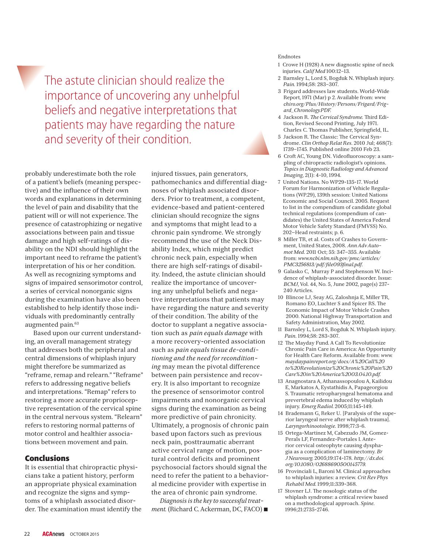The astute clinician should realize the importance of uncovering any unhelpful beliefs and negative interpretations that patients may have regarding the nature and severity of their condition.

probably underestimate both the role of a patient's beliefs (meaning perspective) and the influence of their own words and explanations in determining the level of pain and disability that the patient will or will not experience. The presence of catastrophizing or negative associations between pain and tissue damage and high self-ratings of disability on the NDI should highlight the important need to reframe the patient's interpretation of his or her condition. As well as recognizing symptoms and signs of impaired sensorimotor control, a series of cervical nonorganic signs during the examination have also been established to help identify those individuals with predominantly centrally augmented pain.63

Based upon our current understanding, an overall management strategy that addresses both the peripheral and central dimensions of whiplash injury might therefore be summarized as "reframe, remap and relearn." "Reframe" refers to addressing negative beliefs and interpretations. "Remap" refers to restoring a more accurate proprioceptive representation of the cervical spine in the central nervous system. "Relearn" refers to restoring normal patterns of motor control and healthier associations between movement and pain.

#### **Conclusions**

It is essential that chiropractic physicians take a patient history, perform an appropriate physical examination and recognize the signs and symptoms of a whiplash associated disorder. The examination must identify the injured tissues, pain generators, pathomechanics and differential diagnoses of whiplash associated disorders. Prior to treatment, a competent, evidence-based and patient-centered clinician should recognize the signs and symptoms that might lead to a chronic pain syndrome. We strongly recommend the use of the Neck Disability Index, which might predict chronic neck pain, especially when there are high self-ratings of disability. Indeed, the astute clinician should realize the importance of uncovering any unhelpful beliefs and negative interpretations that patients may have regarding the nature and severity of their condition. The ability of the doctor to supplant a negative association such as *pain equals damage* with a more recovery-oriented association such as *pain equals tissue de-conditioning and the need for reconditioning* may mean the pivotal difference between pain persistence and recovery. It is also important to recognize the presence of sensorimotor control impairments and nonorganic cervical signs during the examination as being more predictive of pain chronicity. Ultimately, a prognosis of chronic pain based upon factors such as previous neck pain, posttraumatic aberrant active cervical range of motion, postural control deficits and prominent psychosocial factors should signal the need to refer the patient to a behavioral medicine provider with expertise in the area of chronic pain syndrome.

*Diagnosis is the key to successful treatment.* (Richard C. Ackerman, DC, FACO)

#### Endnotes

- 1 Crowe H (1928) A new diagnostic spine of neck injuries. *Calif Med* 100:12–13.
- 2 Barnsley L, Lord S, Bogduk N. Whiplash injury. *Pain.* 1994;58: 283–307.
- 3 Frigard addresses law students. World-Wide Report*,* 1971 (Mar) p 2. Available from: *www. chiro.org/Plus/History/Persons/Frigard/Frigard\_Chronology.PDF.*
- 4 Jackson R. The Cervical Syndrome. Third Edition, Revised Second Printing, July 1971. Charles C. Thomas Publisher, Springfield, IL.
- 5 Jackson R. The Classic: The Cervical Syndrome. *Clin Orthop Relat Res*. 2010 Jul; 468(7): 1739–1745. Published online 2010 Feb 23.
- 6 Croft AC, Young DN. Videofluoroscopy: a sampling of chiropractic radiologist's opinions. *Topics in Diagnostic Radiology and Advanced Imaging*, 2(1): 4-10, 1994.
- 7 United Nations. No WP29-135-17. World Forum for Harmonization of Vehicle Regulations (WP.29), 139th session: United Nations Economic and Social Council. 2005. Request to list in the compendium of candidate global technical regulations (compendium of candidates) the United States of America Federal Motor Vehicle Safety Standard (FMVSS) No. 202—Head restraints; p. 6.
- 8 Miller TR, et al. Costs of Crashes to Government, United States, 2008. *Ann Adv Automot Med*. 2011 Oct; 55: 347–355. Available from: *www.ncbi.nlm.nih.gov/pmc/articles/ PMC3256813/pdf/fi le093fi nal.pdf*.
- 9 Galasko C, Murray P and Stephenson W. Incidence of whiplash-associated disorder. Issue: *BCMJ*, Vol. 44, No. 5, June 2002, page(s) 237- 240 Articles.
- 10 Blincoe LJ, Seay AG, Zaloshnja E, Miller TR, Romano EO, Luchter S and Spicer RS. The Economic Impact of Motor Vehicle Crashes 2000. National Highway Transportation and Safety Administration, May 2002.
- 11 Barnsley L, Lord S, Bogduk N. Whiplash injury. *Pain*. 1994;58: 283-307.
- 12 The Mayday Fund. A Call To Revolutionize Chronic Pain Care in America: An Opportunity for Health Care Reform. Available from: *www. maydaypainreport.org/docs/A%20Call%20 to%20Revolutionize%20Chronic%20Pain%20 Care%20in%20America%2003.04.10.pdf.*
- 13 Anagnostara A, Athanassopoulou A, Kailidou E, Markatos A, Eystathidis A, Papageorgiou S. Traumatic retropharyngeal hematoma and prevertebral edema induced by whiplash injury. *Emerg Radiol.* 2005;11:145-149.
- 14 Brademann G, Reker U. [Paralysis of the superior laryngeal nerve after whiplash trauma]. *Laryngorhinootologie*. 1998;77:3-6.
- 15 Ortega-Martinez M, Cabezudo JM, Gomez-Perals LF, Fernandez-Portales I. Anterior cervical osteophyte causing dysphagia as a complication of laminectomy. *Br J Neurosurg.* 2005;19:174-178. *http://dx.doi. org/10.1080/02688690500145779.*
- 16 Provinciali L, Baroni M. Clinical approaches to whiplash injuries: a review. *Crit Rev Phys Rehabil Med.* 1999;11:339-368.
- 17 Stovner LJ. The nosologic status of the whiplash syndrome: a critical review based on a methodological approach. *Spine*. 1996;21:2735-2746.